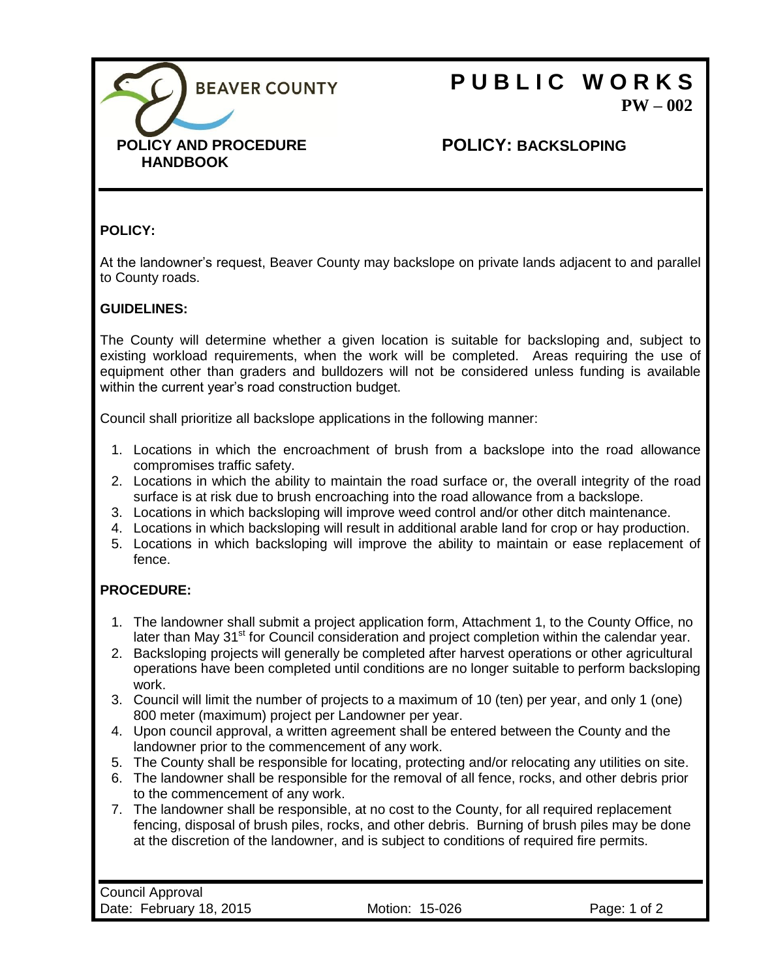

# **P U B L I C W O R K S PW – 002**

### **POLICY: BACKSLOPING**

#### **POLICY:**

At the landowner's request, Beaver County may backslope on private lands adjacent to and parallel to County roads.

#### **GUIDELINES:**

The County will determine whether a given location is suitable for backsloping and, subject to existing workload requirements, when the work will be completed. Areas requiring the use of equipment other than graders and bulldozers will not be considered unless funding is available within the current year's road construction budget.

Council shall prioritize all backslope applications in the following manner:

- 1. Locations in which the encroachment of brush from a backslope into the road allowance compromises traffic safety.
- 2. Locations in which the ability to maintain the road surface or, the overall integrity of the road surface is at risk due to brush encroaching into the road allowance from a backslope.
- 3. Locations in which backsloping will improve weed control and/or other ditch maintenance.
- 4. Locations in which backsloping will result in additional arable land for crop or hay production.
- 5. Locations in which backsloping will improve the ability to maintain or ease replacement of fence.

#### **PROCEDURE:**

- 1. The landowner shall submit a project application form, Attachment 1, to the County Office, no later than May 31<sup>st</sup> for Council consideration and project completion within the calendar year.
- 2. Backsloping projects will generally be completed after harvest operations or other agricultural operations have been completed until conditions are no longer suitable to perform backsloping work.
- 3. Council will limit the number of projects to a maximum of 10 (ten) per year, and only 1 (one) 800 meter (maximum) project per Landowner per year.
- 4. Upon council approval, a written agreement shall be entered between the County and the landowner prior to the commencement of any work.
- 5. The County shall be responsible for locating, protecting and/or relocating any utilities on site.
- 6. The landowner shall be responsible for the removal of all fence, rocks, and other debris prior to the commencement of any work.
- 7. The landowner shall be responsible, at no cost to the County, for all required replacement fencing, disposal of brush piles, rocks, and other debris. Burning of brush piles may be done at the discretion of the landowner, and is subject to conditions of required fire permits.